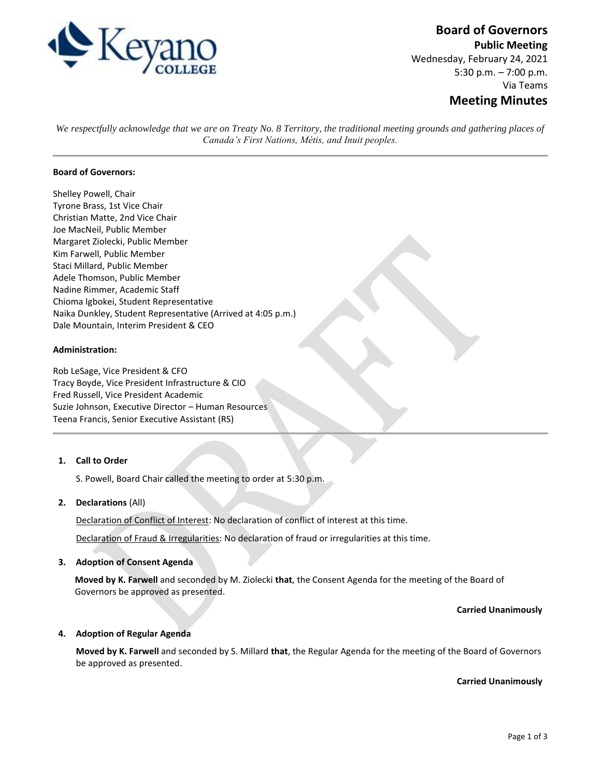

# **Board of Governors**

**Public Meeting** Wednesday, February 24, 2021 5:30 p.m. – 7:00 p.m. Via Teams

## **Meeting Minutes**

*We respectfully acknowledge that we are on Treaty No. 8 Territory, the traditional meeting grounds and gathering places of Canada's First Nations, Métis, and Inuit peoples.*

## **Board of Governors:**

Shelley Powell, Chair Tyrone Brass, 1st Vice Chair Christian Matte, 2nd Vice Chair Joe MacNeil, Public Member Margaret Ziolecki, Public Member Kim Farwell, Public Member Staci Millard, Public Member Adele Thomson, Public Member Nadine Rimmer, Academic Staff Chioma Igbokei, Student Representative Naika Dunkley, Student Representative (Arrived at 4:05 p.m.) Dale Mountain, Interim President & CEO

### **Administration:**

Rob LeSage, Vice President & CFO Tracy Boyde, Vice President Infrastructure & CIO Fred Russell, Vice President Academic Suzie Johnson, Executive Director – Human Resources Teena Francis, Senior Executive Assistant (RS)

## **1. Call to Order**

S. Powell, Board Chair called the meeting to order at 5:30 p.m.

#### **2. Declarations** (All)

Declaration of Conflict of Interest: No declaration of conflict of interest at this time.

Declaration of Fraud & Irregularities: No declaration of fraud or irregularities at this time.

#### **3. Adoption of Consent Agenda**

**Moved by K. Farwell** and seconded by M. Ziolecki **that**, the Consent Agenda for the meeting of the Board of Governors be approved as presented.

#### **Carried Unanimously**

#### **4. Adoption of Regular Agenda**

**Moved by K. Farwell** and seconded by S. Millard **that**, the Regular Agenda for the meeting of the Board of Governors be approved as presented.

**Carried Unanimously**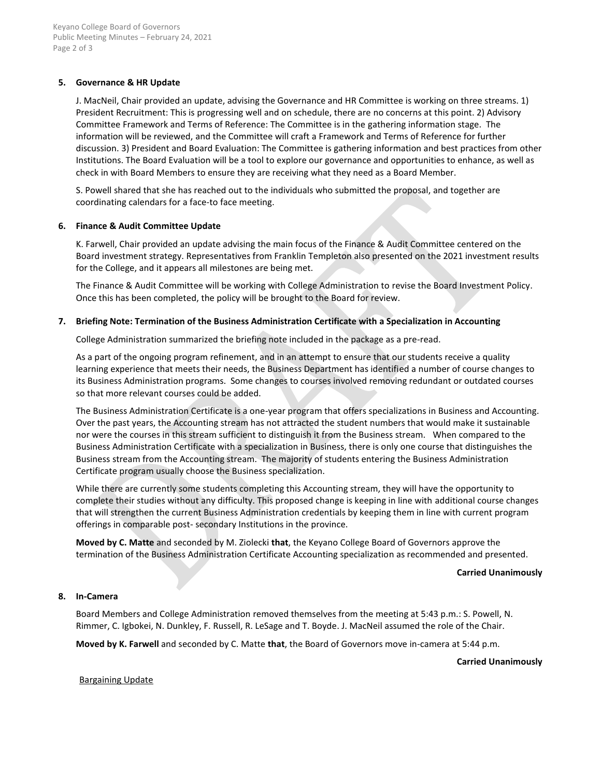## **5. Governance & HR Update**

J. MacNeil, Chair provided an update, advising the Governance and HR Committee is working on three streams. 1) President Recruitment: This is progressing well and on schedule, there are no concerns at this point. 2) Advisory Committee Framework and Terms of Reference: The Committee is in the gathering information stage. The information will be reviewed, and the Committee will craft a Framework and Terms of Reference for further discussion. 3) President and Board Evaluation: The Committee is gathering information and best practices from other Institutions. The Board Evaluation will be a tool to explore our governance and opportunities to enhance, as well as check in with Board Members to ensure they are receiving what they need as a Board Member.

S. Powell shared that she has reached out to the individuals who submitted the proposal, and together are coordinating calendars for a face-to face meeting.

### **6. Finance & Audit Committee Update**

K. Farwell, Chair provided an update advising the main focus of the Finance & Audit Committee centered on the Board investment strategy. Representatives from Franklin Templeton also presented on the 2021 investment results for the College, and it appears all milestones are being met.

The Finance & Audit Committee will be working with College Administration to revise the Board Investment Policy. Once this has been completed, the policy will be brought to the Board for review.

### **7. Briefing Note: Termination of the Business Administration Certificate with a Specialization in Accounting**

College Administration summarized the briefing note included in the package as a pre-read.

As a part of the ongoing program refinement, and in an attempt to ensure that our students receive a quality learning experience that meets their needs, the Business Department has identified a number of course changes to its Business Administration programs. Some changes to courses involved removing redundant or outdated courses so that more relevant courses could be added.

The Business Administration Certificate is a one-year program that offers specializations in Business and Accounting. Over the past years, the Accounting stream has not attracted the student numbers that would make it sustainable nor were the courses in this stream sufficient to distinguish it from the Business stream. When compared to the Business Administration Certificate with a specialization in Business, there is only one course that distinguishes the Business stream from the Accounting stream. The majority of students entering the Business Administration Certificate program usually choose the Business specialization.

While there are currently some students completing this Accounting stream, they will have the opportunity to complete their studies without any difficulty. This proposed change is keeping in line with additional course changes that will strengthen the current Business Administration credentials by keeping them in line with current program offerings in comparable post- secondary Institutions in the province.

**Moved by C. Matte** and seconded by M. Ziolecki **that**, the Keyano College Board of Governors approve the termination of the Business Administration Certificate Accounting specialization as recommended and presented.

#### **Carried Unanimously**

#### **8. In-Camera**

Board Members and College Administration removed themselves from the meeting at 5:43 p.m.: S. Powell, N. Rimmer, C. Igbokei, N. Dunkley, F. Russell, R. LeSage and T. Boyde. J. MacNeil assumed the role of the Chair.

**Moved by K. Farwell** and seconded by C. Matte **that**, the Board of Governors move in-camera at 5:44 p.m.

**Carried Unanimously**

Bargaining Update